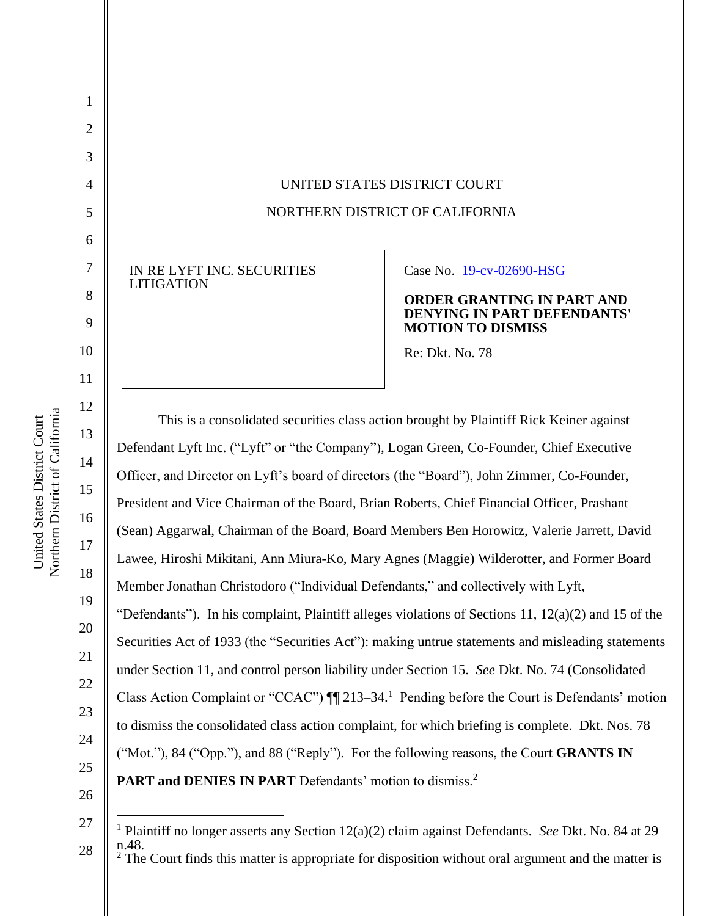UNITED STATES DISTRICT COURT NORTHERN DISTRICT OF CALIFORNIA

IN RE LYFT INC. SECURITIES LITIGATION

Case No. 19-cv-02690-HSG

### **ORDER GRANTING IN PART AND DENYING IN PART DEFENDANTS' MOTION TO DISMISS**

Re: Dkt. No. 78

This is a consolidated securities class action brought by Plaintiff Rick Keiner against Defendant Lyft Inc. ("Lyft" or "the Company"), Logan Green, Co-Founder, Chief Executive Officer, and Director on Lyft's board of directors (the "Board"), John Zimmer, Co-Founder, President and Vice Chairman of the Board, Brian Roberts, Chief Financial Officer, Prashant (Sean) Aggarwal, Chairman of the Board, Board Members Ben Horowitz, Valerie Jarrett, David Lawee, Hiroshi Mikitani, Ann Miura-Ko, Mary Agnes (Maggie) Wilderotter, and Former Board Member Jonathan Christodoro ("Individual Defendants," and collectively with Lyft, "Defendants"). In his complaint, Plaintiff alleges violations of Sections 11,  $12(a)(2)$  and 15 of the Securities Act of 1933 (the "Securities Act"): making untrue statements and misleading statements under Section 11, and control person liability under Section 15. *See* Dkt. No. 74 (Consolidated Class Action Complaint or "CCAC")  $\P$  213–34.<sup>1</sup> Pending before the Court is Defendants' motion to dismiss the consolidated class action complaint, for which briefing is complete. Dkt. Nos. 78 ("Mot."), 84 ("Opp."), and 88 ("Reply"). For the following reasons, the Court **GRANTS IN**  PART and DENIES IN PART Defendants' motion to dismiss.<sup>2</sup>

26

27

28

1

2

3

4

5

6

7

8

9

10

11

12

13

14

15

16

17

18

19

20

21

22

23

24

<sup>1</sup> Plaintiff no longer asserts any Section 12(a)(2) claim against Defendants. *See* Dkt. No. 84 at 29 n.48.  $2^{\degree}$  The Court finds this matter is appropriate for disposition without oral argument and the matter is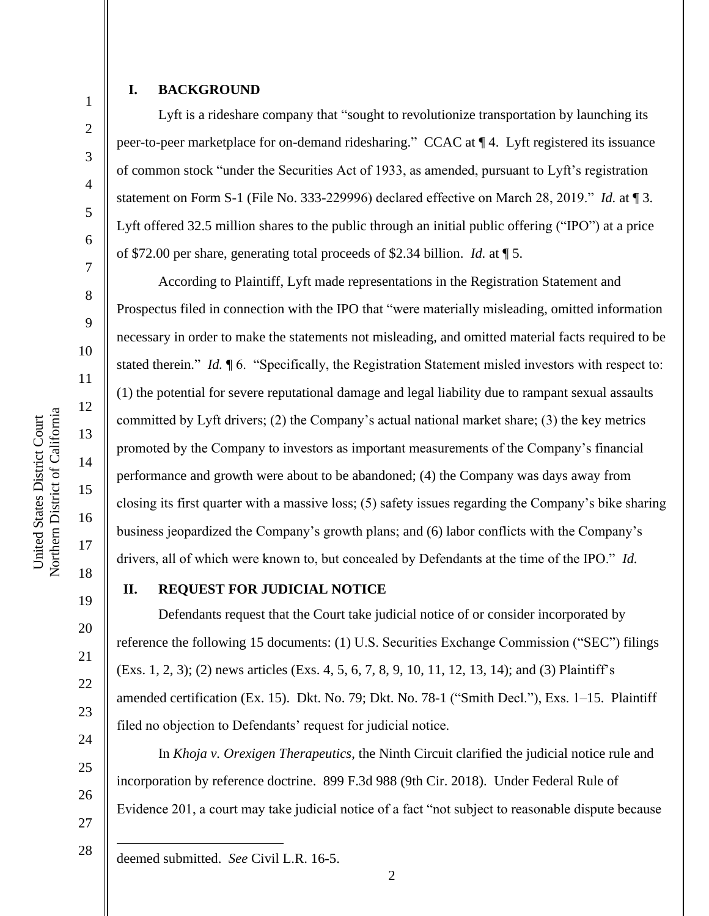# **I. BACKGROUND**

1

2

3

4

5

6

7

8

9

10

11

12

13

14

15

16

17

18

19

20

21

22

23

24

25

26

27

Lyft is a rideshare company that "sought to revolutionize transportation by launching its peer-to-peer marketplace for on-demand ridesharing." CCAC at ¶ 4. Lyft registered its issuance of common stock "under the Securities Act of 1933, as amended, pursuant to Lyft's registration statement on Form S-1 (File No. 333-229996) declared effective on March 28, 2019." *Id.* at ¶ 3. Lyft offered 32.5 million shares to the public through an initial public offering ("IPO") at a price of \$72.00 per share, generating total proceeds of \$2.34 billion. *Id.* at ¶ 5.

According to Plaintiff, Lyft made representations in the Registration Statement and Prospectus filed in connection with the IPO that "were materially misleading, omitted information necessary in order to make the statements not misleading, and omitted material facts required to be stated therein." *Id.*  $\mathbb{I}6$ . "Specifically, the Registration Statement misled investors with respect to: (1) the potential for severe reputational damage and legal liability due to rampant sexual assaults committed by Lyft drivers; (2) the Company's actual national market share; (3) the key metrics promoted by the Company to investors as important measurements of the Company's financial performance and growth were about to be abandoned; (4) the Company was days away from closing its first quarter with a massive loss; (5) safety issues regarding the Company's bike sharing business jeopardized the Company's growth plans; and (6) labor conflicts with the Company's drivers, all of which were known to, but concealed by Defendants at the time of the IPO." *Id.*

# **II. REQUEST FOR JUDICIAL NOTICE**

Defendants request that the Court take judicial notice of or consider incorporated by reference the following 15 documents: (1) U.S. Securities Exchange Commission ("SEC") filings (Exs. 1, 2, 3); (2) news articles (Exs. 4, 5, 6, 7, 8, 9, 10, 11, 12, 13, 14); and (3) Plaintiff's amended certification (Ex. 15). Dkt. No. 79; Dkt. No. 78-1 ("Smith Decl."), Exs. 1–15. Plaintiff filed no objection to Defendants' request for judicial notice.

In *Khoja v. Orexigen Therapeutics*, the Ninth Circuit clarified the judicial notice rule and incorporation by reference doctrine. 899 F.3d 988 (9th Cir. 2018). Under Federal Rule of Evidence 201, a court may take judicial notice of a fact "not subject to reasonable dispute because

28 deemed submitted. *See* Civil L.R. 16-5.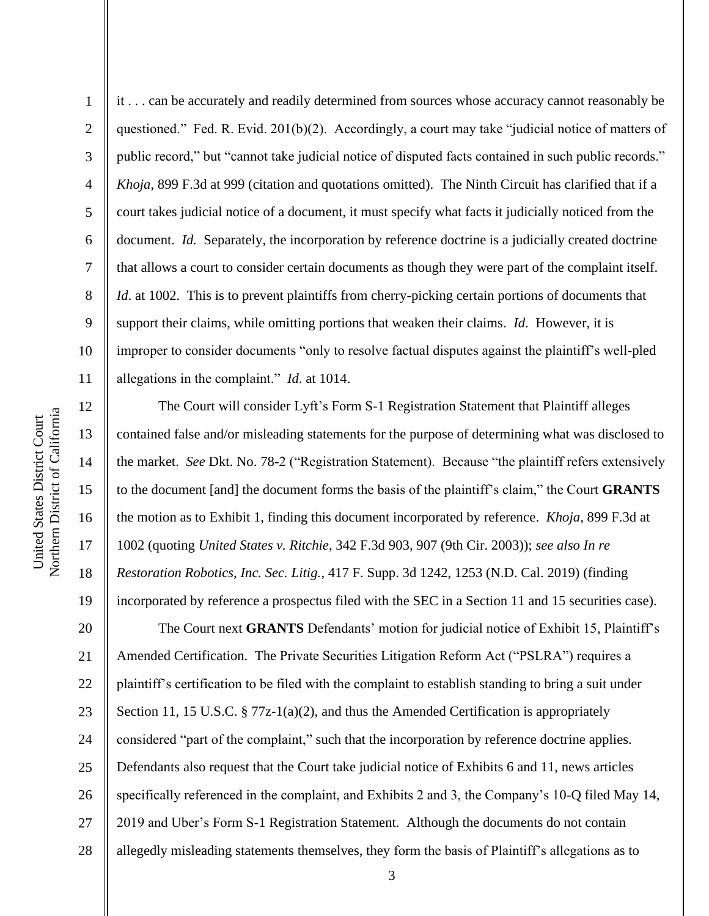2

3

4

5

8

9

11

6 7 10 it . . . can be accurately and readily determined from sources whose accuracy cannot reasonably be questioned." Fed. R. Evid. 201(b)(2). Accordingly, a court may take "judicial notice of matters of public record," but "cannot take judicial notice of disputed facts contained in such public records." *Khoja*, 899 F.3d at 999 (citation and quotations omitted). The Ninth Circuit has clarified that if a court takes judicial notice of a document, it must specify what facts it judicially noticed from the document. *Id.* Separately, the incorporation by reference doctrine is a judicially created doctrine that allows a court to consider certain documents as though they were part of the complaint itself. *Id.* at 1002. This is to prevent plaintiffs from cherry-picking certain portions of documents that support their claims, while omitting portions that weaken their claims. *Id*. However, it is improper to consider documents "only to resolve factual disputes against the plaintiff's well-pled allegations in the complaint." *Id*. at 1014.

12 13 14 15 16 17 18 19 20 21 22 23 24 25 26 27 The Court will consider Lyft's Form S-1 Registration Statement that Plaintiff alleges contained false and/or misleading statements for the purpose of determining what was disclosed to the market. *See* Dkt. No. 78-2 ("Registration Statement). Because "the plaintiff refers extensively to the document [and] the document forms the basis of the plaintiff's claim," the Court **GRANTS** the motion as to Exhibit 1, finding this document incorporated by reference. *Khoja*, 899 F.3d at 1002 (quoting *United States v. Ritchie*, 342 F.3d 903, 907 (9th Cir. 2003)); *see also In re Restoration Robotics, Inc. Sec. Litig.*, 417 F. Supp. 3d 1242, 1253 (N.D. Cal. 2019) (finding incorporated by reference a prospectus filed with the SEC in a Section 11 and 15 securities case). The Court next **GRANTS** Defendants' motion for judicial notice of Exhibit 15, Plaintiff's Amended Certification. The Private Securities Litigation Reform Act ("PSLRA") requires a plaintiff's certification to be filed with the complaint to establish standing to bring a suit under Section 11, 15 U.S.C. § 77z-1(a)(2), and thus the Amended Certification is appropriately considered "part of the complaint," such that the incorporation by reference doctrine applies. Defendants also request that the Court take judicial notice of Exhibits 6 and 11, news articles specifically referenced in the complaint, and Exhibits 2 and 3, the Company's 10-Q filed May 14, 2019 and Uber's Form S-1 Registration Statement. Although the documents do not contain

28

allegedly misleading statements themselves, they form the basis of Plaintiff's allegations as to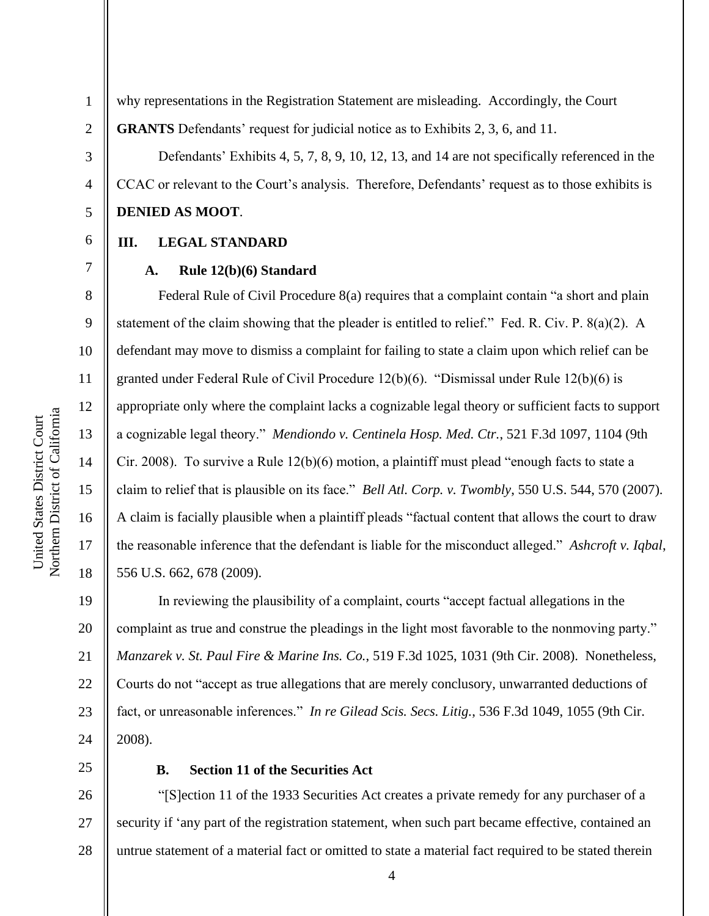2

3

4

5

6

7

8

9

10

11

12

13

14

15

16

17

18

why representations in the Registration Statement are misleading. Accordingly, the Court **GRANTS** Defendants' request for judicial notice as to Exhibits 2, 3, 6, and 11.

Defendants' Exhibits 4, 5, 7, 8, 9, 10, 12, 13, and 14 are not specifically referenced in the CCAC or relevant to the Court's analysis. Therefore, Defendants' request as to those exhibits is **DENIED AS MOOT**.

## **III. LEGAL STANDARD**

### **A. Rule 12(b)(6) Standard**

Federal Rule of Civil Procedure 8(a) requires that a complaint contain "a short and plain statement of the claim showing that the pleader is entitled to relief." Fed. R. Civ. P. 8(a)(2). A defendant may move to dismiss a complaint for failing to state a claim upon which relief can be granted under Federal Rule of Civil Procedure 12(b)(6). "Dismissal under Rule 12(b)(6) is appropriate only where the complaint lacks a cognizable legal theory or sufficient facts to support a cognizable legal theory." *Mendiondo v. Centinela Hosp. Med. Ctr.*, 521 F.3d 1097, 1104 (9th Cir. 2008). To survive a Rule 12(b)(6) motion, a plaintiff must plead "enough facts to state a claim to relief that is plausible on its face." *Bell Atl. Corp. v. Twombly*, 550 U.S. 544, 570 (2007). A claim is facially plausible when a plaintiff pleads "factual content that allows the court to draw the reasonable inference that the defendant is liable for the misconduct alleged." *Ashcroft v. Iqbal*, 556 U.S. 662, 678 (2009).

19 20 21 22 23 24 In reviewing the plausibility of a complaint, courts "accept factual allegations in the complaint as true and construe the pleadings in the light most favorable to the nonmoving party." *Manzarek v. St. Paul Fire & Marine Ins. Co.*, 519 F.3d 1025, 1031 (9th Cir. 2008). Nonetheless, Courts do not "accept as true allegations that are merely conclusory, unwarranted deductions of fact, or unreasonable inferences." *In re Gilead Scis. Secs. Litig.*, 536 F.3d 1049, 1055 (9th Cir. 2008).

25

### **B. Section 11 of the Securities Act**

26 27 28 "[S]ection 11 of the 1933 Securities Act creates a private remedy for any purchaser of a security if 'any part of the registration statement, when such part became effective, contained an untrue statement of a material fact or omitted to state a material fact required to be stated therein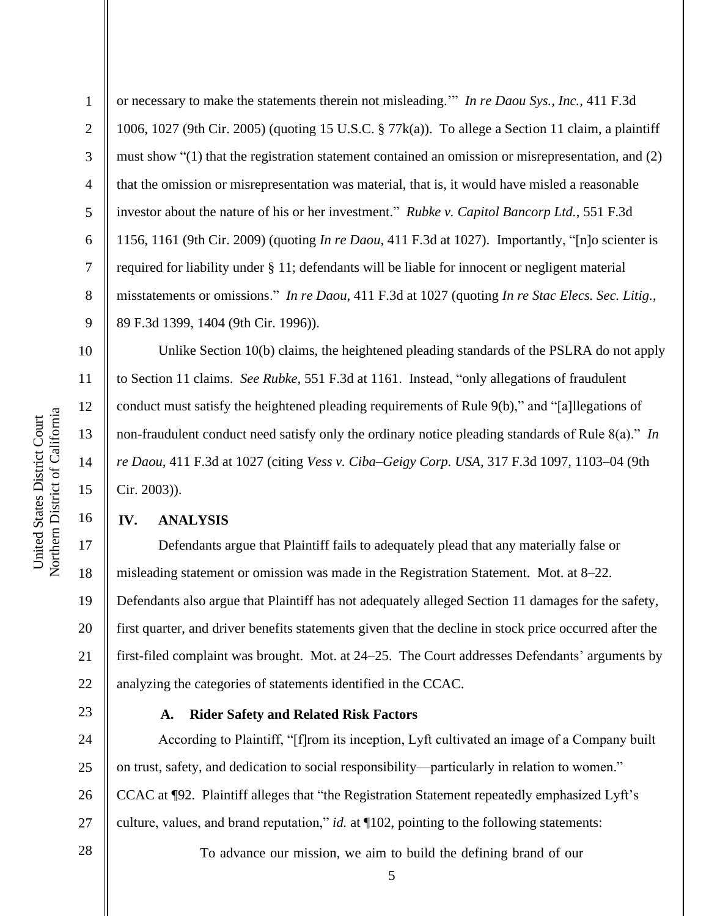11

12

13

14

15

16

1 2 3 4 5 6 7 8 9 or necessary to make the statements therein not misleading.'" *In re Daou Sys., Inc.*, 411 F.3d 1006, 1027 (9th Cir. 2005) (quoting 15 U.S.C. § 77k(a)). To allege a Section 11 claim, a plaintiff must show "(1) that the registration statement contained an omission or misrepresentation, and (2) that the omission or misrepresentation was material, that is, it would have misled a reasonable investor about the nature of his or her investment." *Rubke v. Capitol Bancorp Ltd.*, 551 F.3d 1156, 1161 (9th Cir. 2009) (quoting *In re Daou*, 411 F.3d at 1027). Importantly, "[n]o scienter is required for liability under § 11; defendants will be liable for innocent or negligent material misstatements or omissions." *In re Daou*, 411 F.3d at 1027 (quoting *In re Stac Elecs. Sec. Litig.*, 89 F.3d 1399, 1404 (9th Cir. 1996)).

Unlike Section 10(b) claims, the heightened pleading standards of the PSLRA do not apply to Section 11 claims. *See Rubke*, 551 F.3d at 1161. Instead, "only allegations of fraudulent conduct must satisfy the heightened pleading requirements of Rule 9(b)," and "[a]llegations of non-fraudulent conduct need satisfy only the ordinary notice pleading standards of Rule 8(a)." *In re Daou*, 411 F.3d at 1027 (citing *Vess v. Ciba–Geigy Corp. USA,* 317 F.3d 1097, 1103–04 (9th Cir. 2003)).

# **IV. ANALYSIS**

17 18 19 20 21 22 Defendants argue that Plaintiff fails to adequately plead that any materially false or misleading statement or omission was made in the Registration Statement. Mot. at 8–22. Defendants also argue that Plaintiff has not adequately alleged Section 11 damages for the safety, first quarter, and driver benefits statements given that the decline in stock price occurred after the first-filed complaint was brought. Mot. at 24–25. The Court addresses Defendants' arguments by analyzing the categories of statements identified in the CCAC.

23

# **A. Rider Safety and Related Risk Factors**

24 25 26 27 According to Plaintiff, "[f]rom its inception, Lyft cultivated an image of a Company built on trust, safety, and dedication to social responsibility—particularly in relation to women." CCAC at ¶92. Plaintiff alleges that "the Registration Statement repeatedly emphasized Lyft's culture, values, and brand reputation," *id.* at ¶102, pointing to the following statements:

28

To advance our mission, we aim to build the defining brand of our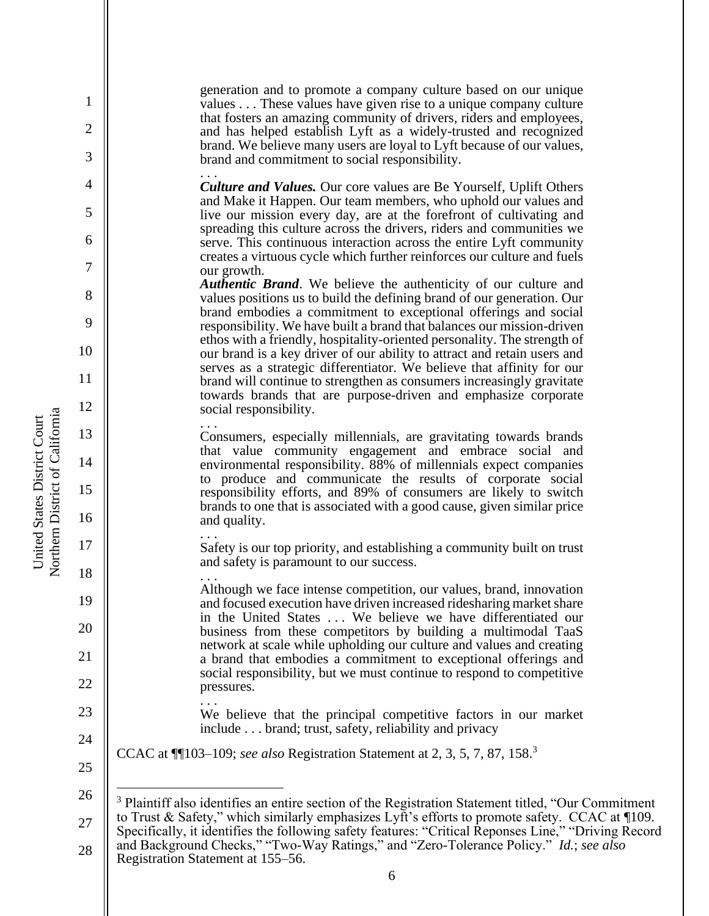generation and to promote a company culture based on our unique values . . . These values have given rise to a unique company culture that fosters an amazing community of drivers, riders and employees, and has helped establish Lyft as a widely-trusted and recognized brand. We believe many users are loyal to Lyft because of our values, brand and commitment to social responsibility.

. . . *Culture and Values.* Our core values are Be Yourself, Uplift Others and Make it Happen. Our team members, who uphold our values and live our mission every day, are at the forefront of cultivating and spreading this culture across the drivers, riders and communities we serve. This continuous interaction across the entire Lyft community creates a virtuous cycle which further reinforces our culture and fuels our growth.

*Authentic Brand*. We believe the authenticity of our culture and values positions us to build the defining brand of our generation. Our brand embodies a commitment to exceptional offerings and social responsibility. We have built a brand that balances our mission-driven ethos with a friendly, hospitality-oriented personality. The strength of our brand is a key driver of our ability to attract and retain users and serves as a strategic differentiator. We believe that affinity for our brand will continue to strengthen as consumers increasingly gravitate towards brands that are purpose-driven and emphasize corporate social responsibility.

. . . Consumers, especially millennials, are gravitating towards brands that value community engagement and embrace social and environmental responsibility. 88% of millennials expect companies to produce and communicate the results of corporate social responsibility efforts, and 89% of consumers are likely to switch brands to one that is associated with a good cause, given similar price and quality.

. . . Safety is our top priority, and establishing a community built on trust and safety is paramount to our success.

. . . Although we face intense competition, our values, brand, innovation and focused execution have driven increased ridesharing market share in the United States . . . We believe we have differentiated our business from these competitors by building a multimodal TaaS network at scale while upholding our culture and values and creating a brand that embodies a commitment to exceptional offerings and social responsibility, but we must continue to respond to competitive pressures.

.<br>. . . We believe that the principal competitive factors in our market include . . . brand; trust, safety, reliability and privacy

CCAC at ¶¶103–109; *see also* Registration Statement at 2, 3, 5, 7, 87, 158.<sup>3</sup>

25 26

Northern District of California Northern District of California United States District Court United States District Court

1

2

3

4

5

6

7

8

9

10

11

12

13

14

15

16

17

18

19

20

21

22

23

<sup>27</sup> 28 <sup>3</sup> Plaintiff also identifies an entire section of the Registration Statement titled, "Our Commitment" to Trust & Safety," which similarly emphasizes Lyft's efforts to promote safety. CCAC at ¶109. Specifically, it identifies the following safety features: "Critical Reponses Line," "Driving Record and Background Checks," "Two-Way Ratings," and "Zero-Tolerance Policy." *Id.*; *see also* Registration Statement at 155–56.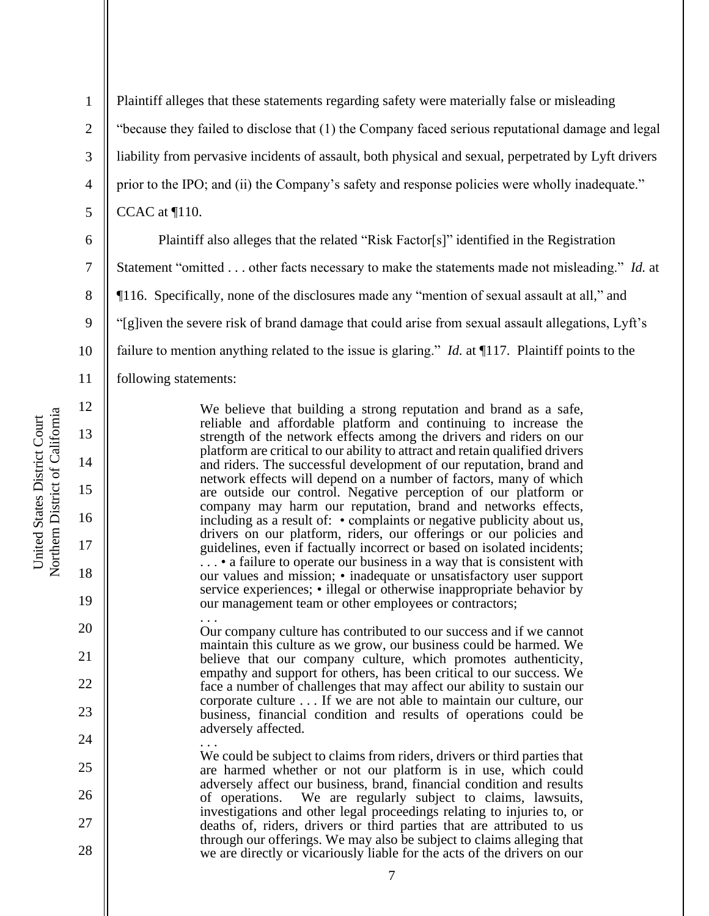1 2 3 4 5 Plaintiff alleges that these statements regarding safety were materially false or misleading "because they failed to disclose that (1) the Company faced serious reputational damage and legal liability from pervasive incidents of assault, both physical and sexual, perpetrated by Lyft drivers prior to the IPO; and (ii) the Company's safety and response policies were wholly inadequate."

CCAC at ¶110.

6

7

8

9

10

11

12

13

14

15

16

17

18

19

20

21

22

23

24

25

26

27

28

Plaintiff also alleges that the related "Risk Factor[s]" identified in the Registration Statement "omitted . . . other facts necessary to make the statements made not misleading." *Id.* at ¶116. Specifically, none of the disclosures made any "mention of sexual assault at all," and "[g]iven the severe risk of brand damage that could arise from sexual assault allegations, Lyft's failure to mention anything related to the issue is glaring." *Id.* at ¶117. Plaintiff points to the following statements:

> We believe that building a strong reputation and brand as a safe, reliable and affordable platform and continuing to increase the strength of the network effects among the drivers and riders on our platform are critical to our ability to attract and retain qualified drivers and riders. The successful development of our reputation, brand and network effects will depend on a number of factors, many of which are outside our control. Negative perception of our platform or company may harm our reputation, brand and networks effects, including as a result of: • complaints or negative publicity about us, drivers on our platform, riders, our offerings or our policies and guidelines, even if factually incorrect or based on isolated incidents; . . . • a failure to operate our business in a way that is consistent with our values and mission; • inadequate or unsatisfactory user support service experiences; • illegal or otherwise inappropriate behavior by our management team or other employees or contractors;

> . . . Our company culture has contributed to our success and if we cannot maintain this culture as we grow, our business could be harmed. We believe that our company culture, which promotes authenticity, empathy and support for others, has been critical to our success. We face a number of challenges that may affect our ability to sustain our corporate culture . . . If we are not able to maintain our culture, our business, financial condition and results of operations could be adversely affected.

. . . We could be subject to claims from riders, drivers or third parties that are harmed whether or not our platform is in use, which could adversely affect our business, brand, financial condition and results of operations. We are regularly subject to claims, lawsuits, investigations and other legal proceedings relating to injuries to, or deaths of, riders, drivers or third parties that are attributed to us through our offerings. We may also be subject to claims alleging that we are directly or vicariously liable for the acts of the drivers on our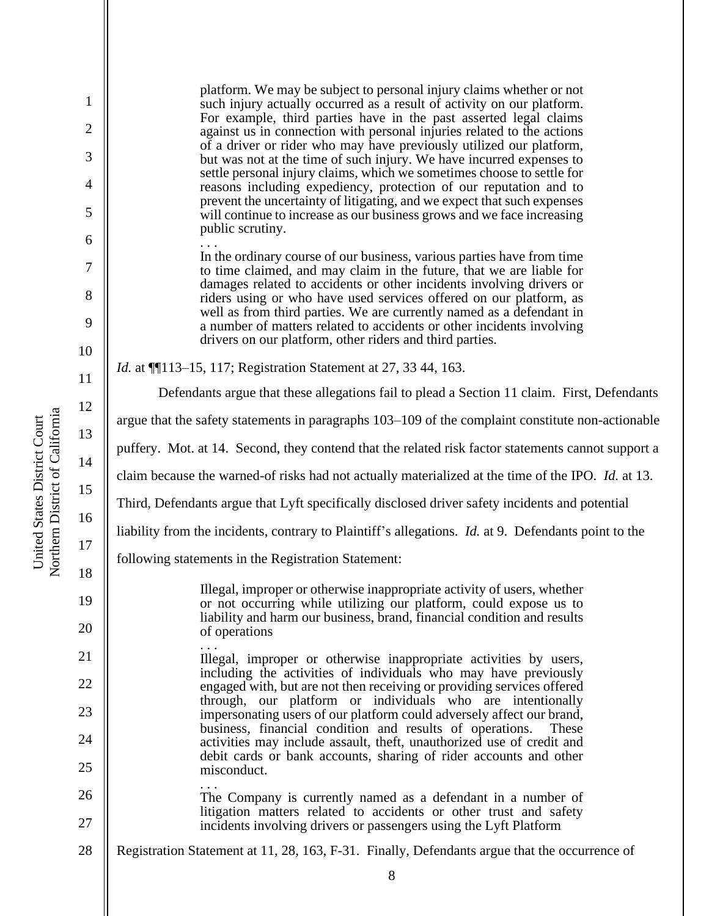1 2 3 4 5 6 7 8 9 10 11 12 13 14 15 16 17 18 19 20 21 22 23 24 25 26 27 28 platform. We may be subject to personal injury claims whether or not such injury actually occurred as a result of activity on our platform. For example, third parties have in the past asserted legal claims against us in connection with personal injuries related to the actions of a driver or rider who may have previously utilized our platform, but was not at the time of such injury. We have incurred expenses to settle personal injury claims, which we sometimes choose to settle for reasons including expediency, protection of our reputation and to prevent the uncertainty of litigating, and we expect that such expenses will continue to increase as our business grows and we face increasing public scrutiny. .<br>. . . In the ordinary course of our business, various parties have from time to time claimed, and may claim in the future, that we are liable for damages related to accidents or other incidents involving drivers or riders using or who have used services offered on our platform, as well as from third parties. We are currently named as a defendant in a number of matters related to accidents or other incidents involving drivers on our platform, other riders and third parties. *Id.* at ¶¶113–15, 117; Registration Statement at 27, 33 44, 163. Defendants argue that these allegations fail to plead a Section 11 claim. First, Defendants argue that the safety statements in paragraphs 103–109 of the complaint constitute non-actionable puffery. Mot. at 14. Second, they contend that the related risk factor statements cannot support a claim because the warned-of risks had not actually materialized at the time of the IPO. *Id.* at 13. Third, Defendants argue that Lyft specifically disclosed driver safety incidents and potential liability from the incidents, contrary to Plaintiff's allegations. *Id.* at 9. Defendants point to the following statements in the Registration Statement: Illegal, improper or otherwise inappropriate activity of users, whether or not occurring while utilizing our platform, could expose us to liability and harm our business, brand, financial condition and results of operations . . . Illegal, improper or otherwise inappropriate activities by users, including the activities of individuals who may have previously engaged with, but are not then receiving or providing services offered through, our platform or individuals who are intentionally impersonating users of our platform could adversely affect our brand, business, financial condition and results of operations. These activities may include assault, theft, unauthorized use of credit and debit cards or bank accounts, sharing of rider accounts and other misconduct. . . . The Company is currently named as a defendant in a number of litigation matters related to accidents or other trust and safety incidents involving drivers or passengers using the Lyft Platform Registration Statement at 11, 28, 163, F-31. Finally, Defendants argue that the occurrence of

Northern District of California Northern District of California United States District Court United States District Court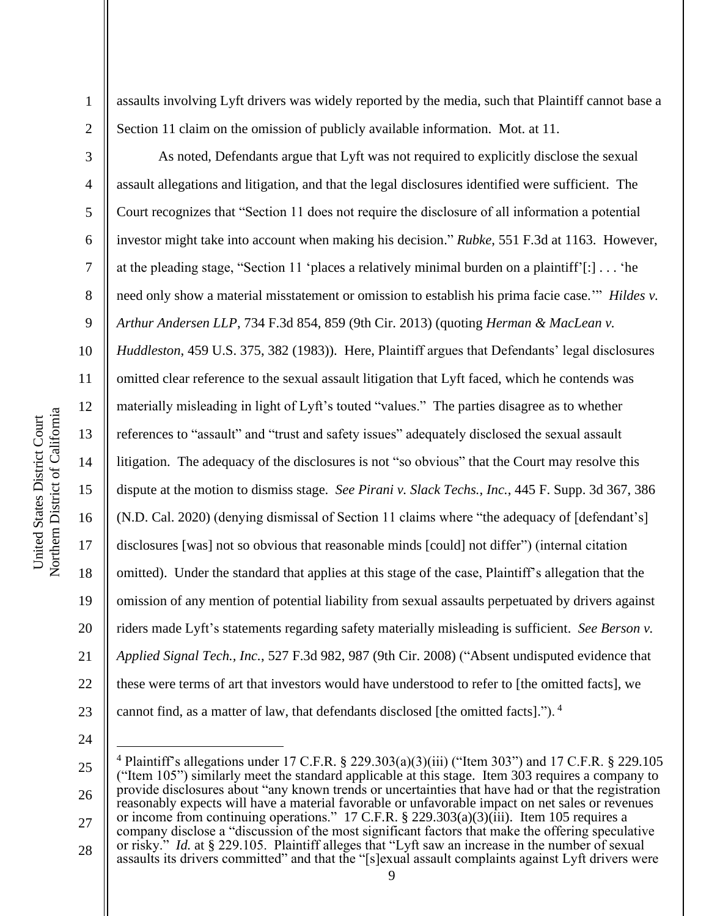Northern District of California Northern District of California United States District Court United States District Court

1

2

3

4

5

6

7

8

9

10

11

12

13

14

15

16

17

18

19

20

21

22

assaults involving Lyft drivers was widely reported by the media, such that Plaintiff cannot base a Section 11 claim on the omission of publicly available information. Mot. at 11.

As noted, Defendants argue that Lyft was not required to explicitly disclose the sexual assault allegations and litigation, and that the legal disclosures identified were sufficient. The Court recognizes that "Section 11 does not require the disclosure of all information a potential investor might take into account when making his decision." *Rubke*, 551 F.3d at 1163. However, at the pleading stage, "Section 11 'places a relatively minimal burden on a plaintiff'[:] . . . 'he need only show a material misstatement or omission to establish his prima facie case.'" *Hildes v. Arthur Andersen LLP*, 734 F.3d 854, 859 (9th Cir. 2013) (quoting *Herman & MacLean v. Huddleston*, 459 U.S. 375, 382 (1983)). Here, Plaintiff argues that Defendants' legal disclosures omitted clear reference to the sexual assault litigation that Lyft faced, which he contends was materially misleading in light of Lyft's touted "values." The parties disagree as to whether references to "assault" and "trust and safety issues" adequately disclosed the sexual assault litigation. The adequacy of the disclosures is not "so obvious" that the Court may resolve this dispute at the motion to dismiss stage. *See Pirani v. Slack Techs., Inc.*, 445 F. Supp. 3d 367, 386 (N.D. Cal. 2020) (denying dismissal of Section 11 claims where "the adequacy of [defendant's] disclosures [was] not so obvious that reasonable minds [could] not differ") (internal citation omitted). Under the standard that applies at this stage of the case, Plaintiff's allegation that the omission of any mention of potential liability from sexual assaults perpetuated by drivers against riders made Lyft's statements regarding safety materially misleading is sufficient. *See Berson v. Applied Signal Tech., Inc.*, 527 F.3d 982, 987 (9th Cir. 2008) ("Absent undisputed evidence that these were terms of art that investors would have understood to refer to [the omitted facts], we cannot find, as a matter of law, that defendants disclosed [the omitted facts]."). <sup>4</sup>

24

<sup>25</sup> 26 27 28 <sup>4</sup> Plaintiff's allegations under 17 C.F.R. § 229.303(a)(3)(iii) ("Item 303") and 17 C.F.R. § 229.105 ("Item 105") similarly meet the standard applicable at this stage. Item 303 requires a company to provide disclosures about "any known trends or uncertainties that have had or that the registration reasonably expects will have a material favorable or unfavorable impact on net sales or revenues or income from continuing operations." 17 C.F.R. § 229.303(a)(3)(iii). Item 105 requires a company disclose a "discussion of the most significant factors that make the offering speculative or risky." *Id.* at § 229.105. Plaintiff alleges that "Lyft saw an increase in the number of sexual assaults its drivers committed" and that the "[s]exual assault complaints against Lyft drivers were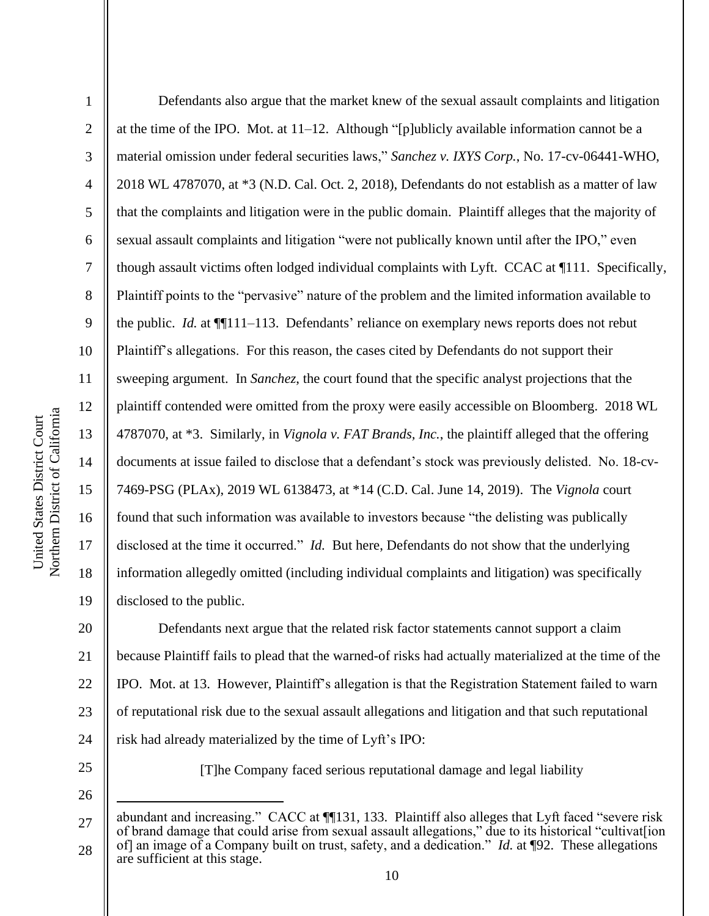Northern District of California Northern District of California United States District Court United States District Court

1 2 3 4 5 6 7 8 9 10 11 12 13 14 15 16 17 18 19 Defendants also argue that the market knew of the sexual assault complaints and litigation at the time of the IPO. Mot. at 11–12. Although "[p]ublicly available information cannot be a material omission under federal securities laws," *Sanchez v. IXYS Corp.*, No. 17-cv-06441-WHO, 2018 WL 4787070, at \*3 (N.D. Cal. Oct. 2, 2018), Defendants do not establish as a matter of law that the complaints and litigation were in the public domain. Plaintiff alleges that the majority of sexual assault complaints and litigation "were not publically known until after the IPO," even though assault victims often lodged individual complaints with Lyft. CCAC at ¶111. Specifically, Plaintiff points to the "pervasive" nature of the problem and the limited information available to the public. *Id.* at ¶¶111–113. Defendants' reliance on exemplary news reports does not rebut Plaintiff's allegations. For this reason, the cases cited by Defendants do not support their sweeping argument. In *Sanchez*, the court found that the specific analyst projections that the plaintiff contended were omitted from the proxy were easily accessible on Bloomberg. 2018 WL 4787070, at \*3. Similarly, in *Vignola v. FAT Brands, Inc.*, the plaintiff alleged that the offering documents at issue failed to disclose that a defendant's stock was previously delisted. No. 18-cv-7469-PSG (PLAx), 2019 WL 6138473, at \*14 (C.D. Cal. June 14, 2019). The *Vignola* court found that such information was available to investors because "the delisting was publically disclosed at the time it occurred." *Id.* But here, Defendants do not show that the underlying information allegedly omitted (including individual complaints and litigation) was specifically disclosed to the public.

20 21 22 23 24 Defendants next argue that the related risk factor statements cannot support a claim because Plaintiff fails to plead that the warned-of risks had actually materialized at the time of the IPO. Mot. at 13. However, Plaintiff's allegation is that the Registration Statement failed to warn of reputational risk due to the sexual assault allegations and litigation and that such reputational risk had already materialized by the time of Lyft's IPO:

25

26

[T]he Company faced serious reputational damage and legal liability

<sup>27</sup> 28 abundant and increasing." CACC at ¶[131, 133. Plaintiff also alleges that Lyft faced "severe risk of brand damage that could arise from sexual assault allegations," due to its historical "cultivat[ion of] an image of a Company built on trust, safety, and a dedication." *Id.* at ¶92. These allegations are sufficient at this stage.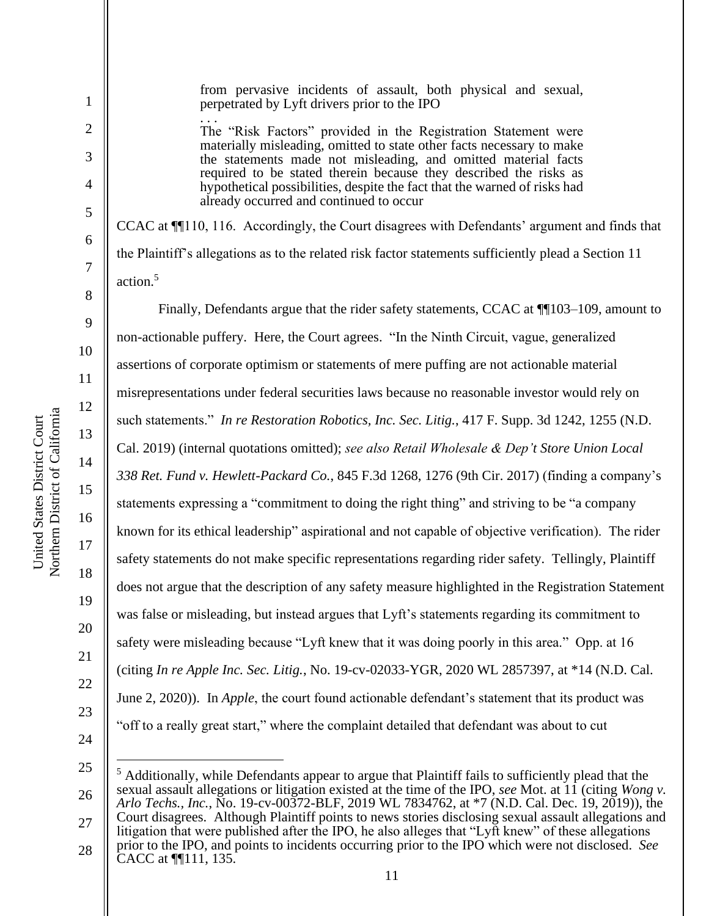1

2

3

4

5

6

7

8

9

from pervasive incidents of assault, both physical and sexual, perpetrated by Lyft drivers prior to the IPO

.<br>. . . The "Risk Factors" provided in the Registration Statement were materially misleading, omitted to state other facts necessary to make the statements made not misleading, and omitted material facts required to be stated therein because they described the risks as hypothetical possibilities, despite the fact that the warned of risks had already occurred and continued to occur

CCAC at ¶¶110, 116. Accordingly, the Court disagrees with Defendants' argument and finds that the Plaintiff's allegations as to the related risk factor statements sufficiently plead a Section 11 action.<sup>5</sup>

Finally, Defendants argue that the rider safety statements, CCAC at ¶¶103–109, amount to non-actionable puffery. Here, the Court agrees. "In the Ninth Circuit, vague, generalized assertions of corporate optimism or statements of mere puffing are not actionable material misrepresentations under federal securities laws because no reasonable investor would rely on such statements." *In re Restoration Robotics, Inc. Sec. Litig.*, 417 F. Supp. 3d 1242, 1255 (N.D. Cal. 2019) (internal quotations omitted); *see also Retail Wholesale & Dep't Store Union Local 338 Ret. Fund v. Hewlett-Packard Co.*, 845 F.3d 1268, 1276 (9th Cir. 2017) (finding a company's statements expressing a "commitment to doing the right thing" and striving to be "a company known for its ethical leadership" aspirational and not capable of objective verification). The rider safety statements do not make specific representations regarding rider safety. Tellingly, Plaintiff does not argue that the description of any safety measure highlighted in the Registration Statement was false or misleading, but instead argues that Lyft's statements regarding its commitment to safety were misleading because "Lyft knew that it was doing poorly in this area." Opp. at 16 (citing *In re Apple Inc. Sec. Litig.*, No. 19-cv-02033-YGR, 2020 WL 2857397, at \*14 (N.D. Cal. June 2, 2020)). In *Apple*, the court found actionable defendant's statement that its product was "off to a really great start," where the complaint detailed that defendant was about to cut

24

19

20

21

22

<sup>25</sup> 26 27 28 <sup>5</sup> Additionally, while Defendants appear to argue that Plaintiff fails to sufficiently plead that the sexual assault allegations or litigation existed at the time of the IPO, *see* Mot. at 11 (citing *Wong v. Arlo Techs., Inc.*, No. 19-cv-00372-BLF, 2019 WL 7834762, at \*7 (N.D. Cal. Dec. 19, 2019)), the Court disagrees. Although Plaintiff points to news stories disclosing sexual assault allegations and litigation that were published after the IPO, he also alleges that "Lyft knew" of these allegations prior to the IPO, and points to incidents occurring prior to the IPO which were not disclosed. *See* CACC at ¶¶111, 135.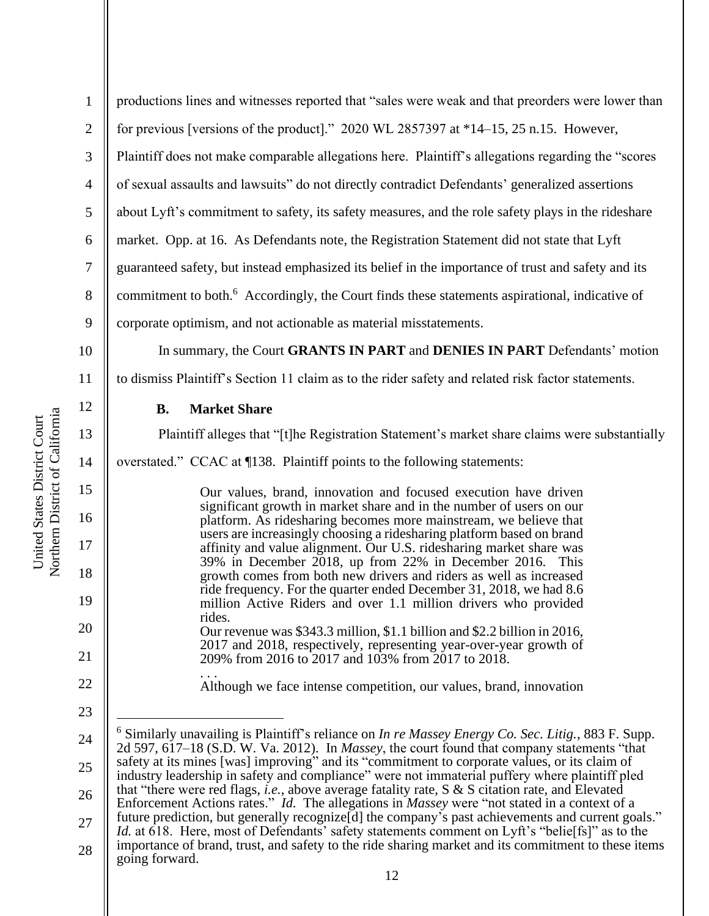1 2 3 4 5 6 7 8 9 productions lines and witnesses reported that "sales were weak and that preorders were lower than for previous [versions of the product]." 2020 WL 2857397 at \*14–15, 25 n.15. However, Plaintiff does not make comparable allegations here. Plaintiff's allegations regarding the "scores of sexual assaults and lawsuits" do not directly contradict Defendants' generalized assertions about Lyft's commitment to safety, its safety measures, and the role safety plays in the rideshare market. Opp. at 16. As Defendants note, the Registration Statement did not state that Lyft guaranteed safety, but instead emphasized its belief in the importance of trust and safety and its commitment to both.<sup>6</sup> Accordingly, the Court finds these statements aspirational, indicative of corporate optimism, and not actionable as material misstatements.

10

11

12

13

14

15

16

17

18

19

20

21

22

23

In summary, the Court **GRANTS IN PART** and **DENIES IN PART** Defendants' motion

to dismiss Plaintiff's Section 11 claim as to the rider safety and related risk factor statements.

## **B. Market Share**

Plaintiff alleges that "[t]he Registration Statement's market share claims were substantially

overstated." CCAC at ¶138. Plaintiff points to the following statements:

Our values, brand, innovation and focused execution have driven significant growth in market share and in the number of users on our platform. As ridesharing becomes more mainstream, we believe that users are increasingly choosing a ridesharing platform based on brand affinity and value alignment. Our U.S. ridesharing market share was 39% in December 2018, up from 22% in December 2016. This growth comes from both new drivers and riders as well as increased ride frequency. For the quarter ended December 31, 2018, we had 8.6 million Active Riders and over 1.1 million drivers who provided rides. Our revenue was \$343.3 million, \$1.1 billion and \$2.2 billion in 2016, 2017 and 2018, respectively, representing year-over-year growth of 209% from 2016 to 2017 and 103% from 2017 to 2018.

. . . Although we face intense competition, our values, brand, innovation

<sup>24</sup> 25 26 27 28 <sup>6</sup> Similarly unavailing is Plaintiff's reliance on *In re Massey Energy Co. Sec. Litig.*, 883 F. Supp. 2d 597, 617–18 (S.D. W. Va. 2012). In *Massey*, the court found that company statements "that safety at its mines [was] improving" and its "commitment to corporate values, or its claim of industry leadership in safety and compliance" were not immaterial puffery where plaintiff pled that "there were red flags, *i.e.*, above average fatality rate, S & S citation rate, and Elevated Enforcement Actions rates." *Id.* The allegations in *Massey* were "not stated in a context of a future prediction, but generally recognize d the company's past achievements and current goals." *Id.* at 618. Here, most of Defendants' safety statements comment on Lyft's "belie<sup>[fs]"</sup> as to the importance of brand, trust, and safety to the ride sharing market and its commitment to these items going forward.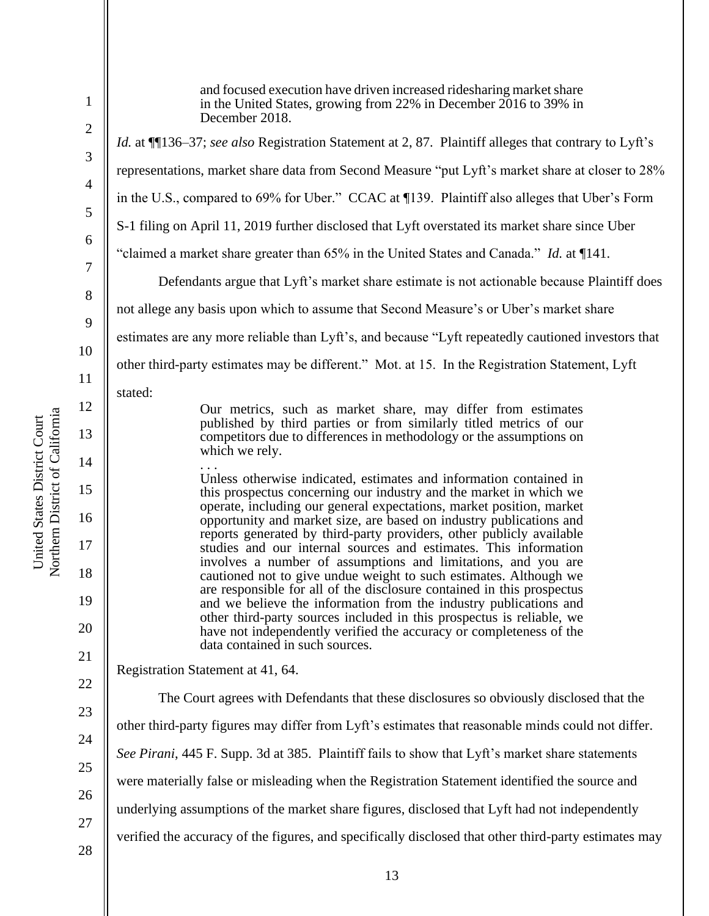4

5

6

7

8

9

10

11

12

13

14

15

16

17

18

19

20

21

22

23

24

25

26

27

28

1

and focused execution have driven increased ridesharing market share in the United States, growing from 22% in December 2016 to 39% in December 2018. *Id.* at ¶¶136–37; *see also* Registration Statement at 2, 87. Plaintiff alleges that contrary to Lyft's representations, market share data from Second Measure "put Lyft's market share at closer to 28% in the U.S., compared to 69% for Uber." CCAC at ¶139. Plaintiff also alleges that Uber's Form S-1 filing on April 11, 2019 further disclosed that Lyft overstated its market share since Uber "claimed a market share greater than 65% in the United States and Canada." *Id.* at ¶141. Defendants argue that Lyft's market share estimate is not actionable because Plaintiff does not allege any basis upon which to assume that Second Measure's or Uber's market share estimates are any more reliable than Lyft's, and because "Lyft repeatedly cautioned investors that other third-party estimates may be different." Mot. at 15. In the Registration Statement, Lyft stated: Our metrics, such as market share, may differ from estimates published by third parties or from similarly titled metrics of our competitors due to differences in methodology or the assumptions on which we rely. . . . Unless otherwise indicated, estimates and information contained in this prospectus concerning our industry and the market in which we operate, including our general expectations, market position, market opportunity and market size, are based on industry publications and reports generated by third-party providers, other publicly available studies and our internal sources and estimates. This information involves a number of assumptions and limitations, and you are cautioned not to give undue weight to such estimates. Although we are responsible for all of the disclosure contained in this prospectus and we believe the information from the industry publications and other third-party sources included in this prospectus is reliable, we have not independently verified the accuracy or completeness of the data contained in such sources. Registration Statement at 41, 64. The Court agrees with Defendants that these disclosures so obviously disclosed that the other third-party figures may differ from Lyft's estimates that reasonable minds could not differ. *See Pirani*, 445 F. Supp. 3d at 385. Plaintiff fails to show that Lyft's market share statements were materially false or misleading when the Registration Statement identified the source and underlying assumptions of the market share figures, disclosed that Lyft had not independently

verified the accuracy of the figures, and specifically disclosed that other third-party estimates may

Northern District of California Northern District of California United States District Court United States District Court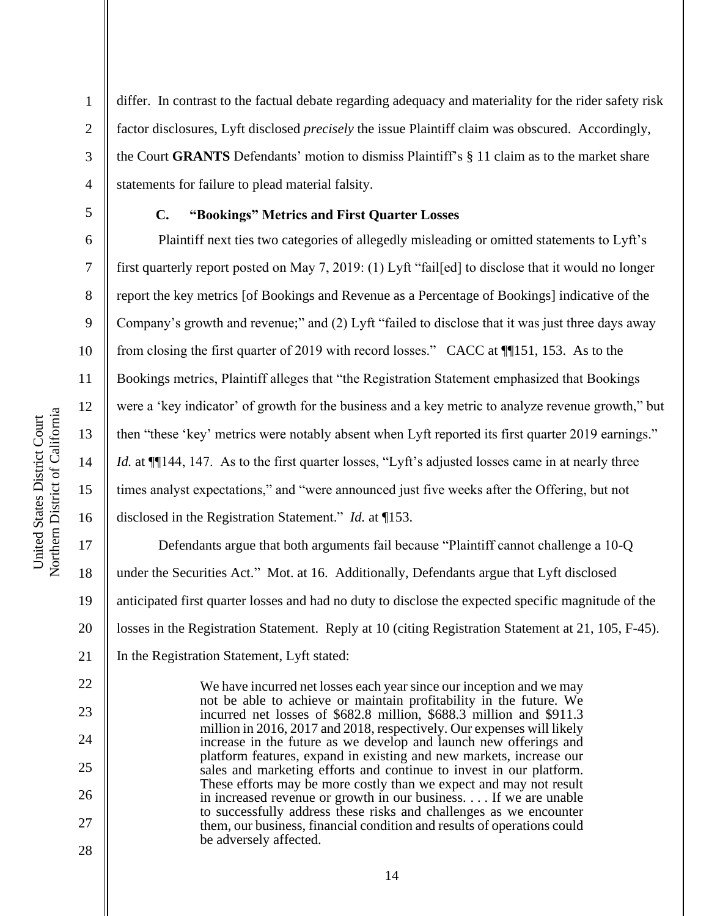differ. In contrast to the factual debate regarding adequacy and materiality for the rider safety risk factor disclosures, Lyft disclosed *precisely* the issue Plaintiff claim was obscured. Accordingly, the Court **GRANTS** Defendants' motion to dismiss Plaintiff's § 11 claim as to the market share statements for failure to plead material falsity.

1

2

3

4

5

6

7

8

9

10

11

12

13

14

15

16

22

23

24

25

26

27

28

# **C. "Bookings" Metrics and First Quarter Losses**

Plaintiff next ties two categories of allegedly misleading or omitted statements to Lyft's first quarterly report posted on May 7, 2019: (1) Lyft "fail[ed] to disclose that it would no longer report the key metrics [of Bookings and Revenue as a Percentage of Bookings] indicative of the Company's growth and revenue;" and (2) Lyft "failed to disclose that it was just three days away from closing the first quarter of 2019 with record losses." CACC at ¶¶151, 153. As to the Bookings metrics, Plaintiff alleges that "the Registration Statement emphasized that Bookings were a 'key indicator' of growth for the business and a key metric to analyze revenue growth," but then "these 'key' metrics were notably absent when Lyft reported its first quarter 2019 earnings." *Id.* at  $\P$ [144, 147. As to the first quarter losses, "Lyft's adjusted losses came in at nearly three times analyst expectations," and "were announced just five weeks after the Offering, but not disclosed in the Registration Statement." *Id.* at ¶153.

17 18 19 20 21 Defendants argue that both arguments fail because "Plaintiff cannot challenge a 10-Q under the Securities Act." Mot. at 16. Additionally, Defendants argue that Lyft disclosed anticipated first quarter losses and had no duty to disclose the expected specific magnitude of the losses in the Registration Statement. Reply at 10 (citing Registration Statement at 21, 105, F-45). In the Registration Statement, Lyft stated:

> We have incurred net losses each year since our inception and we may not be able to achieve or maintain profitability in the future. We incurred net losses of \$682.8 million, \$688.3 million and \$911.3 million in 2016, 2017 and 2018, respectively. Our expenses will likely increase in the future as we develop and launch new offerings and platform features, expand in existing and new markets, increase our sales and marketing efforts and continue to invest in our platform. These efforts may be more costly than we expect and may not result in increased revenue or growth in our business. . . . If we are unable to successfully address these risks and challenges as we encounter them, our business, financial condition and results of operations could be adversely affected.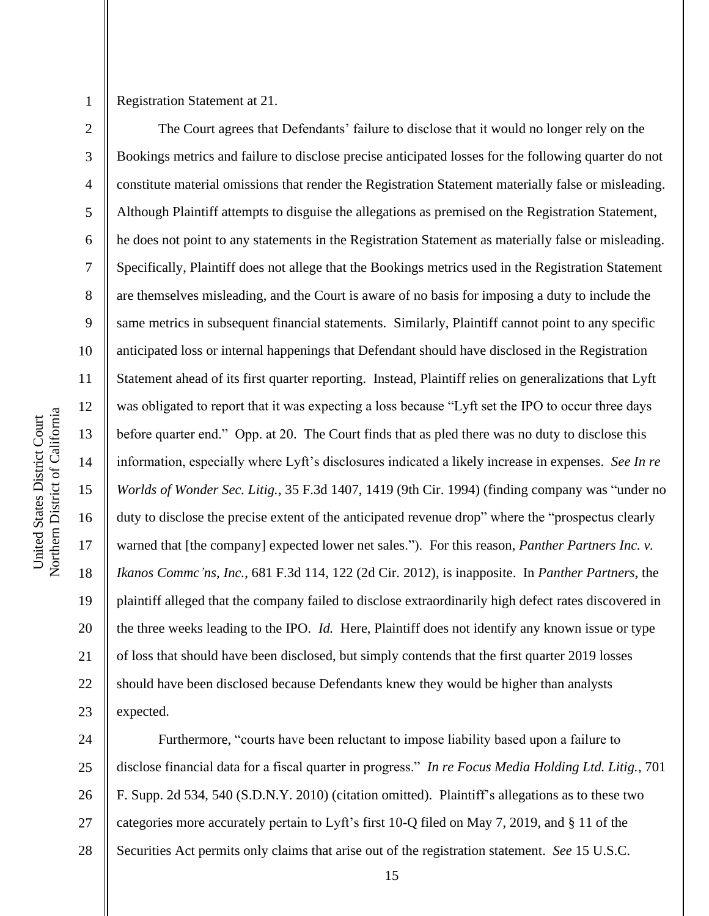3

4

5

7

8

9

11

12

13

14

17

18

19

21

Registration Statement at 21.

6 10 15 16 20 22 23 The Court agrees that Defendants' failure to disclose that it would no longer rely on the Bookings metrics and failure to disclose precise anticipated losses for the following quarter do not constitute material omissions that render the Registration Statement materially false or misleading. Although Plaintiff attempts to disguise the allegations as premised on the Registration Statement, he does not point to any statements in the Registration Statement as materially false or misleading. Specifically, Plaintiff does not allege that the Bookings metrics used in the Registration Statement are themselves misleading, and the Court is aware of no basis for imposing a duty to include the same metrics in subsequent financial statements. Similarly, Plaintiff cannot point to any specific anticipated loss or internal happenings that Defendant should have disclosed in the Registration Statement ahead of its first quarter reporting. Instead, Plaintiff relies on generalizations that Lyft was obligated to report that it was expecting a loss because "Lyft set the IPO to occur three days before quarter end." Opp. at 20. The Court finds that as pled there was no duty to disclose this information, especially where Lyft's disclosures indicated a likely increase in expenses. *See In re Worlds of Wonder Sec. Litig.*, 35 F.3d 1407, 1419 (9th Cir. 1994) (finding company was "under no duty to disclose the precise extent of the anticipated revenue drop" where the "prospectus clearly warned that [the company] expected lower net sales."). For this reason, *Panther Partners Inc. v. Ikanos Commc'ns, Inc.*, 681 F.3d 114, 122 (2d Cir. 2012), is inapposite. In *Panther Partners*, the plaintiff alleged that the company failed to disclose extraordinarily high defect rates discovered in the three weeks leading to the IPO. *Id.* Here, Plaintiff does not identify any known issue or type of loss that should have been disclosed, but simply contends that the first quarter 2019 losses should have been disclosed because Defendants knew they would be higher than analysts expected.

24 25 26 27 28 Furthermore, "courts have been reluctant to impose liability based upon a failure to disclose financial data for a fiscal quarter in progress." *In re Focus Media Holding Ltd. Litig.*, 701 F. Supp. 2d 534, 540 (S.D.N.Y. 2010) (citation omitted). Plaintiff's allegations as to these two categories more accurately pertain to Lyft's first 10-Q filed on May 7, 2019, and § 11 of the Securities Act permits only claims that arise out of the registration statement. *See* 15 U.S.C.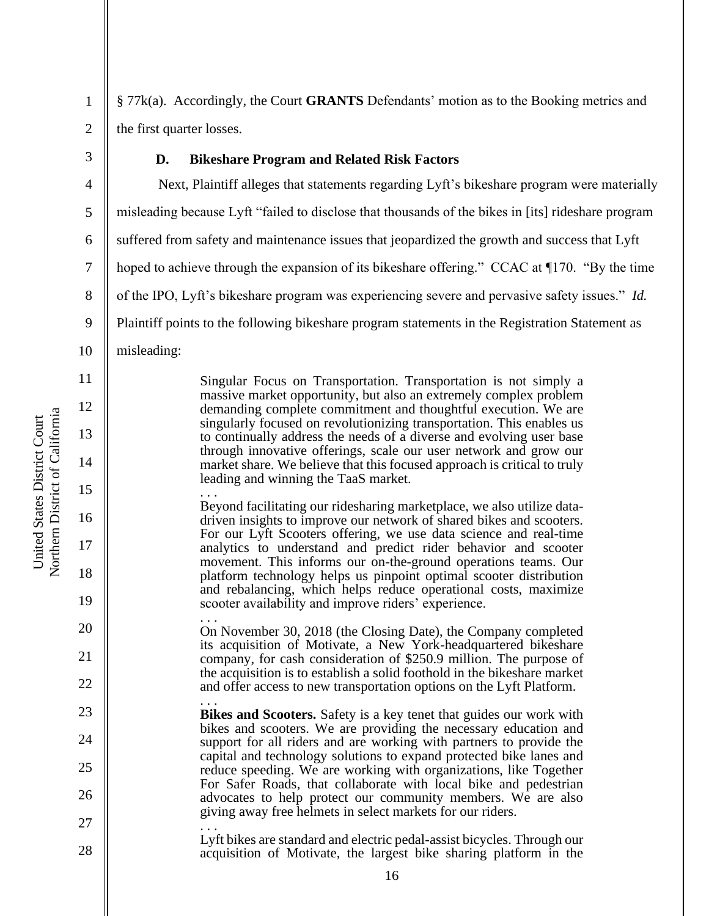4

5

6

7

8

9

11

12

13

14

15

16

17

18

19

20

21

22

23

24

25

26

27

28

§ 77k(a). Accordingly, the Court **GRANTS** Defendants' motion as to the Booking metrics and the first quarter losses.

# **D. Bikeshare Program and Related Risk Factors**

Next, Plaintiff alleges that statements regarding Lyft's bikeshare program were materially misleading because Lyft "failed to disclose that thousands of the bikes in [its] rideshare program suffered from safety and maintenance issues that jeopardized the growth and success that Lyft hoped to achieve through the expansion of its bikeshare offering." CCAC at  $\P$ 170. "By the time of the IPO, Lyft's bikeshare program was experiencing severe and pervasive safety issues." *Id.* Plaintiff points to the following bikeshare program statements in the Registration Statement as

10 misleading:

> Singular Focus on Transportation. Transportation is not simply a massive market opportunity, but also an extremely complex problem demanding complete commitment and thoughtful execution. We are singularly focused on revolutionizing transportation. This enables us to continually address the needs of a diverse and evolving user base through innovative offerings, scale our user network and grow our market share. We believe that this focused approach is critical to truly leading and winning the TaaS market. . . .

> Beyond facilitating our ridesharing marketplace, we also utilize datadriven insights to improve our network of shared bikes and scooters. For our Lyft Scooters offering, we use data science and real-time analytics to understand and predict rider behavior and scooter movement. This informs our on-the-ground operations teams. Our platform technology helps us pinpoint optimal scooter distribution and rebalancing, which helps reduce operational costs, maximize scooter availability and improve riders' experience.

. . . On November 30, 2018 (the Closing Date), the Company completed its acquisition of Motivate, a New York-headquartered bikeshare company, for cash consideration of \$250.9 million. The purpose of the acquisition is to establish a solid foothold in the bikeshare market and offer access to new transportation options on the Lyft Platform. . . .

**Bikes and Scooters.** Safety is a key tenet that guides our work with bikes and scooters. We are providing the necessary education and support for all riders and are working with partners to provide the capital and technology solutions to expand protected bike lanes and reduce speeding. We are working with organizations, like Together For Safer Roads, that collaborate with local bike and pedestrian advocates to help protect our community members. We are also giving away free helmets in select markets for our riders.

.<br>. . . Lyft bikes are standard and electric pedal-assist bicycles. Through our acquisition of Motivate, the largest bike sharing platform in the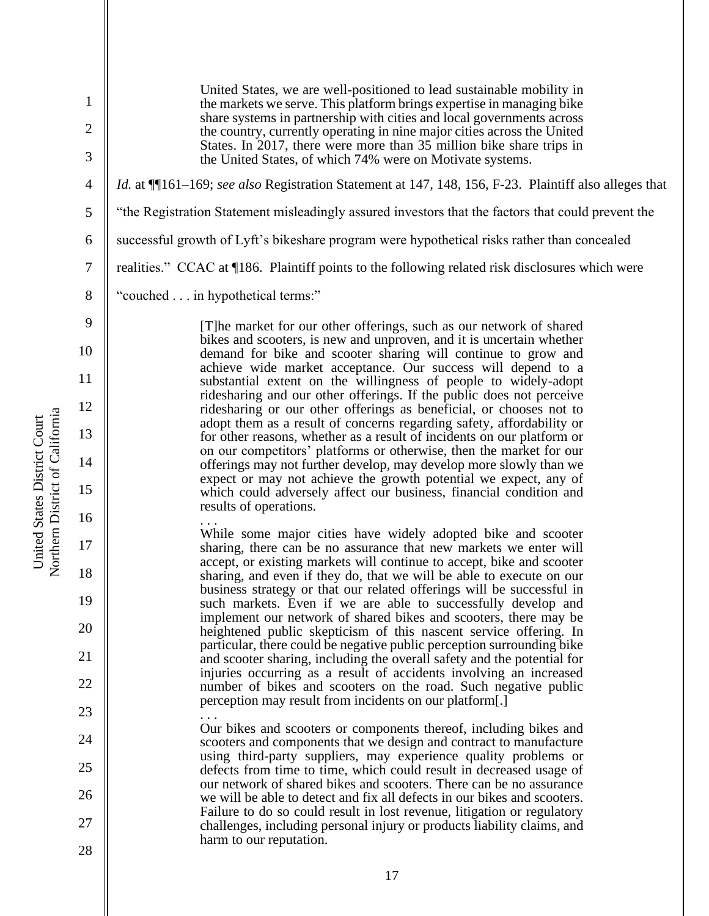1 2 3 4 5 6 7 8 9 10 11 12 13 14 15 16 17 18 19 20 21 22 23 24 25 26 27 28 United States, we are well-positioned to lead sustainable mobility in the markets we serve. This platform brings expertise in managing bike share systems in partnership with cities and local governments across the country, currently operating in nine major cities across the United States. In 2017, there were more than 35 million bike share trips in the United States, of which 74% were on Motivate systems. *Id.* at ¶¶161–169; *see also* Registration Statement at 147, 148, 156, F-23. Plaintiff also alleges that "the Registration Statement misleadingly assured investors that the factors that could prevent the successful growth of Lyft's bikeshare program were hypothetical risks rather than concealed realities." CCAC at ¶186. Plaintiff points to the following related risk disclosures which were "couched . . . in hypothetical terms:" [T]he market for our other offerings, such as our network of shared bikes and scooters, is new and unproven, and it is uncertain whether demand for bike and scooter sharing will continue to grow and achieve wide market acceptance. Our success will depend to a substantial extent on the willingness of people to widely-adopt ridesharing and our other offerings. If the public does not perceive ridesharing or our other offerings as beneficial, or chooses not to adopt them as a result of concerns regarding safety, affordability or for other reasons, whether as a result of incidents on our platform or on our competitors' platforms or otherwise, then the market for our offerings may not further develop, may develop more slowly than we expect or may not achieve the growth potential we expect, any of which could adversely affect our business, financial condition and results of operations. . . . While some major cities have widely adopted bike and scooter sharing, there can be no assurance that new markets we enter will accept, or existing markets will continue to accept, bike and scooter sharing, and even if they do, that we will be able to execute on our business strategy or that our related offerings will be successful in such markets. Even if we are able to successfully develop and implement our network of shared bikes and scooters, there may be heightened public skepticism of this nascent service offering. In particular, there could be negative public perception surrounding bike and scooter sharing, including the overall safety and the potential for injuries occurring as a result of accidents involving an increased number of bikes and scooters on the road. Such negative public perception may result from incidents on our platform[.] . . . Our bikes and scooters or components thereof, including bikes and scooters and components that we design and contract to manufacture using third-party suppliers, may experience quality problems or defects from time to time, which could result in decreased usage of our network of shared bikes and scooters. There can be no assurance we will be able to detect and fix all defects in our bikes and scooters. Failure to do so could result in lost revenue, litigation or regulatory challenges, including personal injury or products liability claims, and harm to our reputation.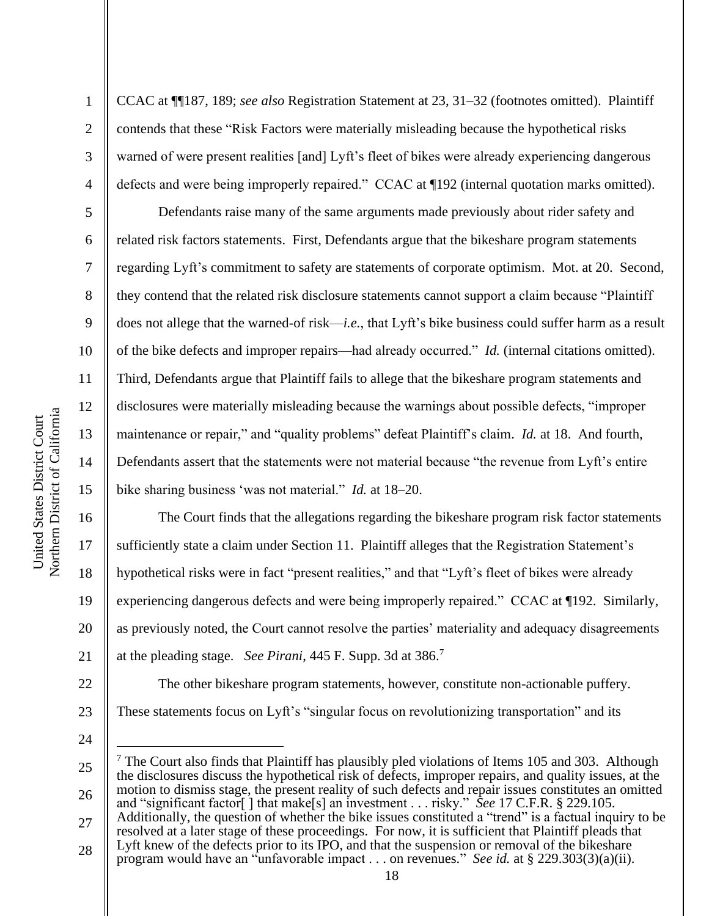2

3

4

5

6

7

8

9

10

11

12

13

14

15

16

17

18

19

20

21

CCAC at ¶¶187, 189; *see also* Registration Statement at 23, 31–32 (footnotes omitted). Plaintiff contends that these "Risk Factors were materially misleading because the hypothetical risks warned of were present realities [and] Lyft's fleet of bikes were already experiencing dangerous defects and were being improperly repaired." CCAC at ¶192 (internal quotation marks omitted).

Defendants raise many of the same arguments made previously about rider safety and related risk factors statements. First, Defendants argue that the bikeshare program statements regarding Lyft's commitment to safety are statements of corporate optimism. Mot. at 20. Second, they contend that the related risk disclosure statements cannot support a claim because "Plaintiff does not allege that the warned-of risk—*i.e.*, that Lyft's bike business could suffer harm as a result of the bike defects and improper repairs—had already occurred." *Id.* (internal citations omitted). Third, Defendants argue that Plaintiff fails to allege that the bikeshare program statements and disclosures were materially misleading because the warnings about possible defects, "improper maintenance or repair," and "quality problems" defeat Plaintiff's claim. *Id.* at 18. And fourth, Defendants assert that the statements were not material because "the revenue from Lyft's entire bike sharing business 'was not material." *Id.* at 18–20.

The Court finds that the allegations regarding the bikeshare program risk factor statements sufficiently state a claim under Section 11. Plaintiff alleges that the Registration Statement's hypothetical risks were in fact "present realities," and that "Lyft's fleet of bikes were already experiencing dangerous defects and were being improperly repaired." CCAC at ¶192. Similarly, as previously noted, the Court cannot resolve the parties' materiality and adequacy disagreements at the pleading stage. *See Pirani*, 445 F. Supp. 3d at 386. 7

The other bikeshare program statements, however, constitute non-actionable puffery.

- 22
- 23 24

These statements focus on Lyft's "singular focus on revolutionizing transportation" and its

27 28 resolved at a later stage of these proceedings. For now, it is sufficient that Plaintiff pleads that Lyft knew of the defects prior to its IPO, and that the suspension or removal of the bikeshare program would have an "unfavorable impact . . . on revenues." *See id.* at § 229.303(3)(a)(ii).

<sup>25</sup> 26  $<sup>7</sup>$  The Court also finds that Plaintiff has plausibly pled violations of Items 105 and 303. Although</sup> the disclosures discuss the hypothetical risk of defects, improper repairs, and quality issues, at the motion to dismiss stage, the present reality of such defects and repair issues constitutes an omitted and "significant factor[ ] that make[s] an investment . . . risky." *See* 17 C.F.R. § 229.105. Additionally, the question of whether the bike issues constituted a "trend" is a factual inquiry to be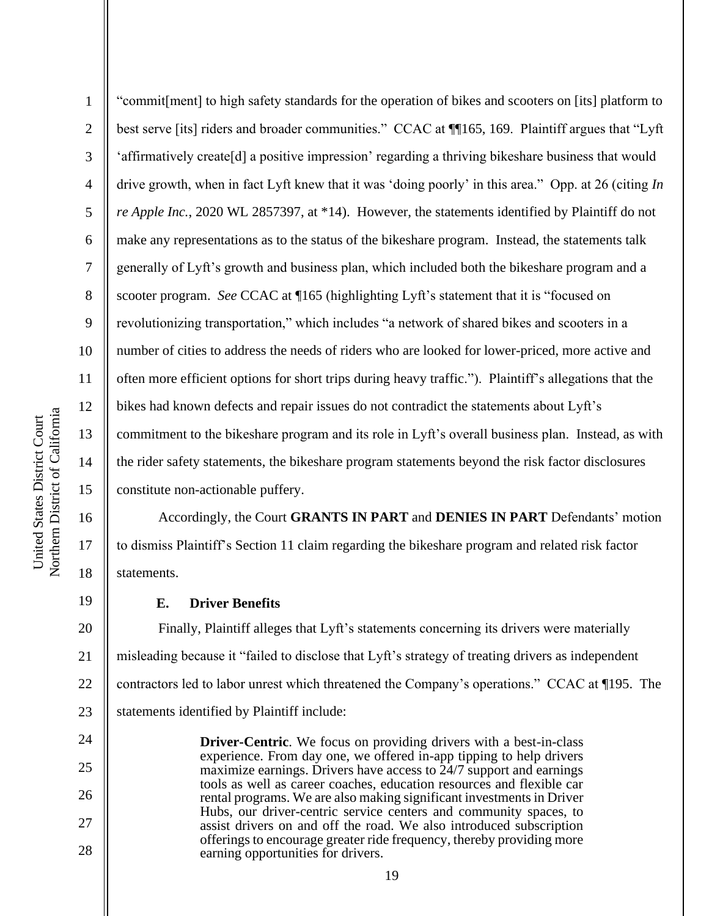17

18

19

24

25

26

27

28

1 2 3 4 5 6 7 8 9 10 11 12 13 14 15 "commit[ment] to high safety standards for the operation of bikes and scooters on [its] platform to best serve [its] riders and broader communities." CCAC at ¶[165, 169. Plaintiff argues that "Lyft" 'affirmatively create[d] a positive impression' regarding a thriving bikeshare business that would drive growth, when in fact Lyft knew that it was 'doing poorly' in this area." Opp. at 26 (citing *In re Apple Inc.*, 2020 WL 2857397, at \*14). However, the statements identified by Plaintiff do not make any representations as to the status of the bikeshare program. Instead, the statements talk generally of Lyft's growth and business plan, which included both the bikeshare program and a scooter program. *See* CCAC at ¶165 (highlighting Lyft's statement that it is "focused on revolutionizing transportation," which includes "a network of shared bikes and scooters in a number of cities to address the needs of riders who are looked for lower-priced, more active and often more efficient options for short trips during heavy traffic."). Plaintiff's allegations that the bikes had known defects and repair issues do not contradict the statements about Lyft's commitment to the bikeshare program and its role in Lyft's overall business plan. Instead, as with the rider safety statements, the bikeshare program statements beyond the risk factor disclosures constitute non-actionable puffery.

Accordingly, the Court **GRANTS IN PART** and **DENIES IN PART** Defendants' motion to dismiss Plaintiff's Section 11 claim regarding the bikeshare program and related risk factor statements.

# **E. Driver Benefits**

20 21 22 23 Finally, Plaintiff alleges that Lyft's statements concerning its drivers were materially misleading because it "failed to disclose that Lyft's strategy of treating drivers as independent contractors led to labor unrest which threatened the Company's operations." CCAC at ¶195. The statements identified by Plaintiff include:

**Driver-Centric**. We focus on providing drivers with a best-in-class experience. From day one, we offered in-app tipping to help drivers maximize earnings. Drivers have access to 24/7 support and earnings tools as well as career coaches, education resources and flexible car rental programs. We are also making significant investments in Driver Hubs, our driver-centric service centers and community spaces, to assist drivers on and off the road. We also introduced subscription offerings to encourage greater ride frequency, thereby providing more earning opportunities for drivers.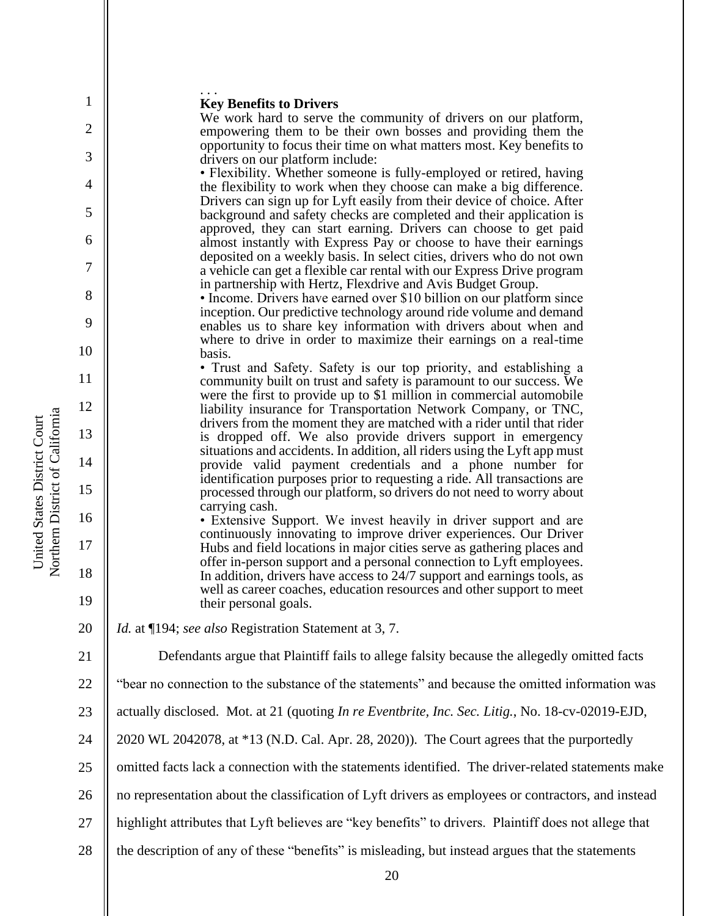### . . . **Key Benefits to Drivers**

We work hard to serve the community of drivers on our platform, empowering them to be their own bosses and providing them the opportunity to focus their time on what matters most. Key benefits to drivers on our platform include:

• Flexibility. Whether someone is fully-employed or retired, having the flexibility to work when they choose can make a big difference. Drivers can sign up for Lyft easily from their device of choice. After background and safety checks are completed and their application is approved, they can start earning. Drivers can choose to get paid almost instantly with Express Pay or choose to have their earnings deposited on a weekly basis. In select cities, drivers who do not own a vehicle can get a flexible car rental with our Express Drive program in partnership with Hertz, Flexdrive and Avis Budget Group.

• Income. Drivers have earned over \$10 billion on our platform since inception. Our predictive technology around ride volume and demand enables us to share key information with drivers about when and where to drive in order to maximize their earnings on a real-time basis.

• Trust and Safety. Safety is our top priority, and establishing a community built on trust and safety is paramount to our success. We were the first to provide up to \$1 million in commercial automobile liability insurance for Transportation Network Company, or TNC, drivers from the moment they are matched with a rider until that rider is dropped off. We also provide drivers support in emergency situations and accidents. In addition, all riders using the Lyft app must provide valid payment credentials and a phone number for identification purposes prior to requesting a ride. All transactions are processed through our platform, so drivers do not need to worry about carrying cash.

• Extensive Support. We invest heavily in driver support and are continuously innovating to improve driver experiences. Our Driver Hubs and field locations in major cities serve as gathering places and offer in-person support and a personal connection to Lyft employees. In addition, drivers have access to 24/7 support and earnings tools, as well as career coaches, education resources and other support to meet their personal goals.

*Id.* at ¶194; *see also* Registration Statement at 3, 7.

Defendants argue that Plaintiff fails to allege falsity because the allegedly omitted facts

22 "bear no connection to the substance of the statements" and because the omitted information was

23 actually disclosed. Mot. at 21 (quoting *In re Eventbrite, Inc. Sec. Litig.*, No. 18-cv-02019-EJD,

24 2020 WL 2042078, at \*13 (N.D. Cal. Apr. 28, 2020)). The Court agrees that the purportedly

25 omitted facts lack a connection with the statements identified. The driver-related statements make

26 no representation about the classification of Lyft drivers as employees or contractors, and instead

- 27 highlight attributes that Lyft believes are "key benefits" to drivers. Plaintiff does not allege that
- 28 the description of any of these "benefits" is misleading, but instead argues that the statements

1

2

3

4

5

6

7

8

9

10

11

12

13

14

15

16

17

18

19

20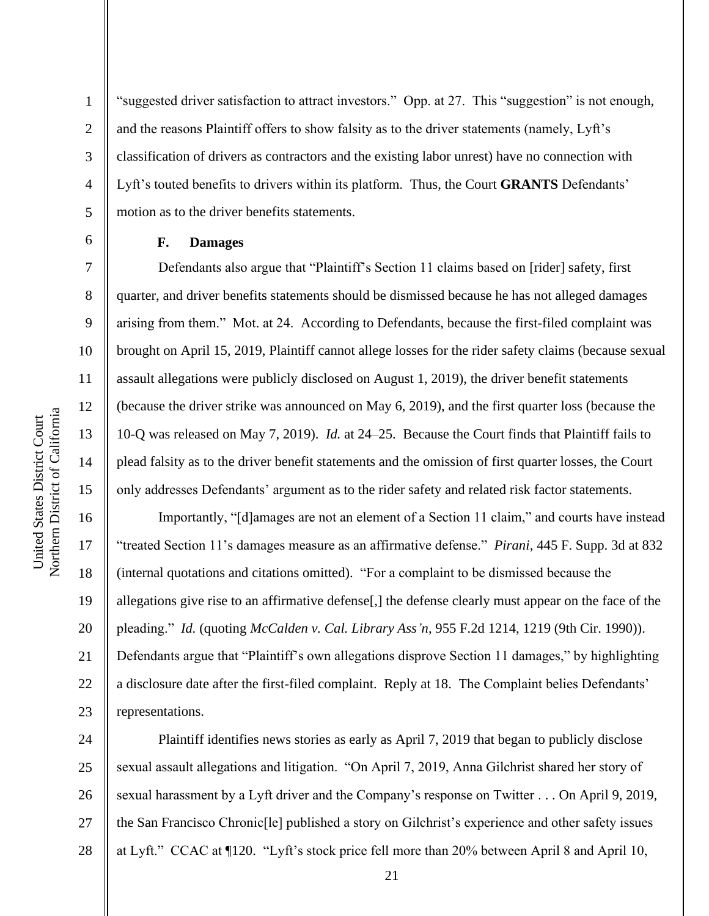Northern District of California Northern District of California United States District Court United States District Court

1

2

3

4

5

6

7

8

9

10

11

12

13

14

15

17

18

19

21

"suggested driver satisfaction to attract investors." Opp. at 27. This "suggestion" is not enough, and the reasons Plaintiff offers to show falsity as to the driver statements (namely, Lyft's classification of drivers as contractors and the existing labor unrest) have no connection with Lyft's touted benefits to drivers within its platform. Thus, the Court **GRANTS** Defendants' motion as to the driver benefits statements.

## **F. Damages**

Defendants also argue that "Plaintiff's Section 11 claims based on [rider] safety, first quarter, and driver benefits statements should be dismissed because he has not alleged damages arising from them." Mot. at 24. According to Defendants, because the first-filed complaint was brought on April 15, 2019, Plaintiff cannot allege losses for the rider safety claims (because sexual assault allegations were publicly disclosed on August 1, 2019), the driver benefit statements (because the driver strike was announced on May 6, 2019), and the first quarter loss (because the 10-Q was released on May 7, 2019). *Id.* at 24–25. Because the Court finds that Plaintiff fails to plead falsity as to the driver benefit statements and the omission of first quarter losses, the Court only addresses Defendants' argument as to the rider safety and related risk factor statements.

16 20 22 23 Importantly, "[d]amages are not an element of a Section 11 claim," and courts have instead "treated Section 11's damages measure as an affirmative defense." *Pirani*, 445 F. Supp. 3d at 832 (internal quotations and citations omitted). "For a complaint to be dismissed because the allegations give rise to an affirmative defense[,] the defense clearly must appear on the face of the pleading." *Id.* (quoting *McCalden v. Cal. Library Ass'n*, 955 F.2d 1214, 1219 (9th Cir. 1990)). Defendants argue that "Plaintiff's own allegations disprove Section 11 damages," by highlighting a disclosure date after the first-filed complaint. Reply at 18. The Complaint belies Defendants' representations.

24 25 26 27 28 Plaintiff identifies news stories as early as April 7, 2019 that began to publicly disclose sexual assault allegations and litigation. "On April 7, 2019, Anna Gilchrist shared her story of sexual harassment by a Lyft driver and the Company's response on Twitter . . . On April 9, 2019, the San Francisco Chronic[le] published a story on Gilchrist's experience and other safety issues at Lyft." CCAC at ¶120. "Lyft's stock price fell more than 20% between April 8 and April 10,